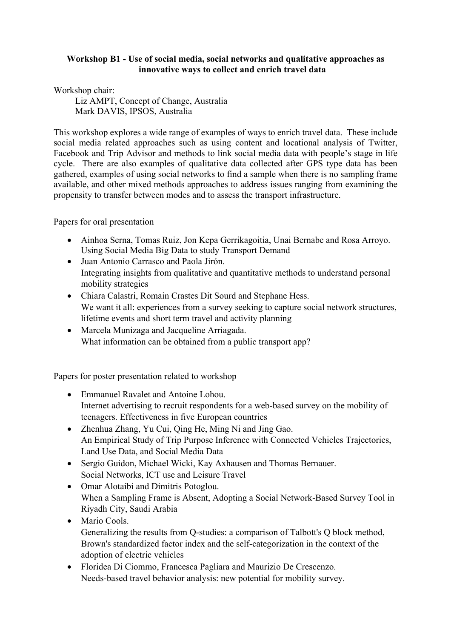## **Workshop B1 - Use of social media, social networks and qualitative approaches as innovative ways to collect and enrich travel data**

Workshop chair:

Liz AMPT, Concept of Change, Australia Mark DAVIS, IPSOS, Australia

This workshop explores a wide range of examples of ways to enrich travel data. These include social media related approaches such as using content and locational analysis of Twitter, Facebook and Trip Advisor and methods to link social media data with people's stage in life cycle. There are also examples of qualitative data collected after GPS type data has been gathered, examples of using social networks to find a sample when there is no sampling frame available, and other mixed methods approaches to address issues ranging from examining the propensity to transfer between modes and to assess the transport infrastructure.

Papers for oral presentation

- Ainhoa Serna, Tomas Ruiz, Jon Kepa Gerrikagoitia, Unai Bernabe and Rosa Arroyo. Using Social Media Big Data to study Transport Demand
- Juan Antonio Carrasco and Paola Jirón. Integrating insights from qualitative and quantitative methods to understand personal mobility strategies
- Chiara Calastri, Romain Crastes Dit Sourd and Stephane Hess. We want it all: experiences from a survey seeking to capture social network structures, lifetime events and short term travel and activity planning
- Marcela Munizaga and Jacqueline Arriagada. What information can be obtained from a public transport app?

Papers for poster presentation related to workshop

- Emmanuel Ravalet and Antoine Lohou Internet advertising to recruit respondents for a web-based survey on the mobility of teenagers. Effectiveness in five European countries
- Zhenhua Zhang, Yu Cui, Qing He, Ming Ni and Jing Gao. An Empirical Study of Trip Purpose Inference with Connected Vehicles Trajectories, Land Use Data, and Social Media Data
- Sergio Guidon, Michael Wicki, Kay Axhausen and Thomas Bernauer. Social Networks, ICT use and Leisure Travel
- Omar Alotaibi and Dimitris Potoglou. When a Sampling Frame is Absent, Adopting a Social Network-Based Survey Tool in Riyadh City, Saudi Arabia
- Mario Cools. Generalizing the results from Q-studies: a comparison of Talbott's Q block method, Brown's standardized factor index and the self-categorization in the context of the adoption of electric vehicles
- Floridea Di Ciommo, Francesca Pagliara and Maurizio De Crescenzo. Needs-based travel behavior analysis: new potential for mobility survey.